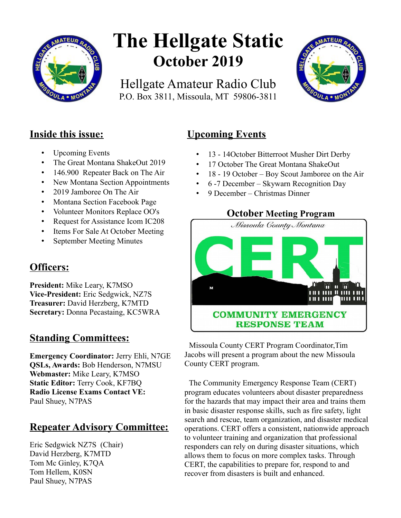

# **The Hellgate Static October 2019**

Hellgate Amateur Radio Club P.O. Box 3811, Missoula, MT 59806-3811



## **Inside this issue:**

- Upcoming Events
- The Great Montana ShakeOut 2019
- 146.900 Repeater Back on The Air
- New Montana Section Appointments
- 2019 Jamboree On The Air
- Montana Section Facebook Page
- Volunteer Monitors Replace OO's
- Request for Assistance Icom IC208
- Items For Sale At October Meeting
- September Meeting Minutes

# **Officers:**

**President:** Mike Leary, K7MSO **Vice-President:** Eric Sedgwick, NZ7S **Treasurer:** David Herzberg, K7MTD **Secretary:** Donna Pecastaing, KC5WRA

## **Standing Committees:**

**Emergency Coordinator:** Jerry Ehli, N7GE **QSLs, Awards:** Bob Henderson, N7MSU **Webmaster:** Mike Leary, K7MSO **Static Editor:** Terry Cook, KF7BQ **Radio License Exams Contact VE:** Paul Shuey, N7PAS

# **Repeater Advisory Committee:**

Eric Sedgwick NZ7S (Chair) David Herzberg, K7MTD Tom Mc Ginley, K7QA Tom Hellem, K0SN Paul Shuey, N7PAS

# **Upcoming Events**

- 13 14October Bitterroot Musher Dirt Derby
- 17 October The Great Montana ShakeOut
- 18 19 October Boy Scout Jamboree on the Air
- 6 -7 December Skywarn Recognition Day
- 9 December Christmas Dinner



 Missoula County CERT Program Coordinator,Tim Jacobs will present a program about the new Missoula County CERT program.

 The Community Emergency Response Team (CERT) program educates volunteers about disaster preparedness for the hazards that may impact their area and trains them in basic disaster response skills, such as fire safety, light search and rescue, team organization, and disaster medical operations. CERT offers a consistent, nationwide approach to volunteer training and organization that professional responders can rely on during disaster situations, which allows them to focus on more complex tasks. Through CERT, the capabilities to prepare for, respond to and recover from disasters is built and enhanced.

## **October Meeting Program**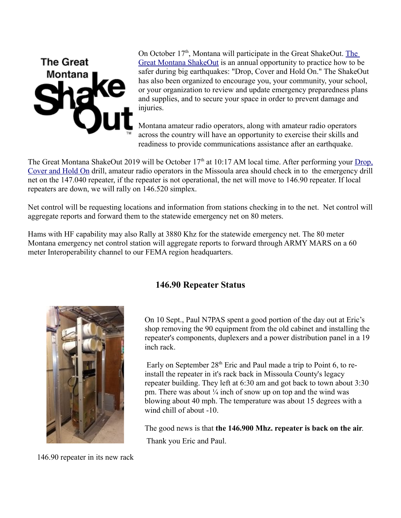

[O](https://www.shakeout.org/montana/)n October 17<sup>th</sup>, Montana will participate in the Great ShakeOut. The [Great Montana ShakeOut](https://www.shakeout.org/montana/) is an annual opportunity to practice how to be safer during big earthquakes: "Drop, Cover and Hold On." The ShakeOut has also been organized to encourage you, your community, your school, or your organization to review and update emergency preparedness plans and supplies, and to secure your space in order to prevent damage and injuries.

Montana amateur radio operators, along with amateur radio operators across the country will have an opportunity to exercise their skills and readiness to provide communications assistance after an earthquake.

The Great Montana ShakeOut 2019 will be October 17<sup>th</sup> at 10:17 AM local time. After performing your [Drop,](https://www.shakeout.org/montana/dropcoverholdon/) [Cover and Hold On](https://www.shakeout.org/montana/dropcoverholdon/) drill, amateur radio operators in the Missoula area should check in to the emergency drill net on the 147.040 repeater, if the repeater is not operational, the net will move to 146.90 repeater. If local repeaters are down, we will rally on 146.520 simplex.

Net control will be requesting locations and information from stations checking in to the net. Net control will aggregate reports and forward them to the statewide emergency net on 80 meters.

Hams with HF capability may also Rally at 3880 Khz for the statewide emergency net. The 80 meter Montana emergency net control station will aggregate reports to forward through ARMY MARS on a 60 meter Interoperability channel to our FEMA region headquarters.



## **146.90 Repeater Status**

On 10 Sept., Paul N7PAS spent a good portion of the day out at Eric's shop removing the 90 equipment from the old cabinet and installing the repeater's components, duplexers and a power distribution panel in a 19 inch rack.

Early on September  $28<sup>th</sup>$  Eric and Paul made a trip to Point 6, to reinstall the repeater in it's rack back in Missoula County's legacy repeater building. They left at 6:30 am and got back to town about 3:30 pm. There was about  $\frac{1}{4}$  inch of snow up on top and the wind was blowing about 40 mph. The temperature was about 15 degrees with a wind chill of about -10.

The good news is that **the 146.900 Mhz. repeater is back on the air**. Thank you Eric and Paul.

146.90 repeater in its new rack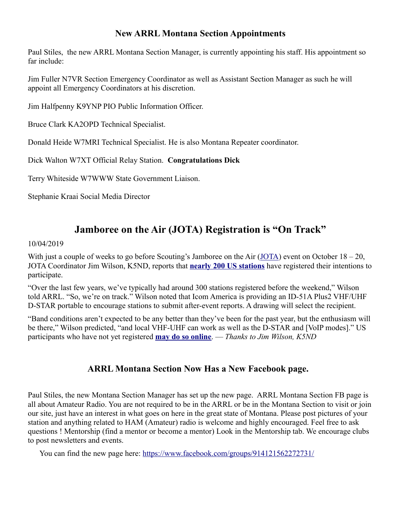## **New ARRL Montana Section Appointments**

Paul Stiles, the new ARRL Montana Section Manager, is currently appointing his staff. His appointment so far include:

Jim Fuller N7VR Section Emergency Coordinator as well as Assistant Section Manager as such he will appoint all Emergency Coordinators at his discretion.

Jim Halfpenny K9YNP PIO Public Information Officer.

Bruce Clark KA2OPD Technical Specialist.

Donald Heide W7MRI Technical Specialist. He is also Montana Repeater coordinator.

Dick Walton W7XT Official Relay Station. **Congratulations Dick**

Terry Whiteside W7WWW State Government Liaison.

Stephanie Kraai Social Media Director

## **Jamboree on the Air (JOTA) Registration is "On Track"**

#### 10/04/2019

With just a couple of weeks to go before Scouting's Jamboree on the Air [\(JOTA\)](https://www.scouting.org/jota/) event on October  $18 - 20$ , JOTA Coordinator Jim Wilson, K5ND, reports that **[nearly 200 US stations](https://k2bsa.net/registered-jamboree-on-the-air-stations/)** have registered their intentions to participate.

"Over the last few years, we've typically had around 300 stations registered before the weekend," Wilson told ARRL. "So, we're on track." Wilson noted that Icom America is providing an ID-51A Plus2 VHF/UHF D-STAR portable to encourage stations to submit after-event reports. A drawing will select the recipient.

"Band conditions aren't expected to be any better than they've been for the past year, but the enthusiasm will be there," Wilson predicted, "and local VHF-UHF can work as well as the D-STAR and [VoIP modes]." US participants who have not yet registered **[may do so online](https://k2bsa.net/jota-station-registration/)**. — *Thanks to Jim Wilson, K5ND*

## **ARRL Montana Section Now Has a New Facebook page.**

Paul Stiles, the new Montana Section Manager has set up the new page. ARRL Montana Section FB page is all about Amateur Radio. You are not required to be in the ARRL or be in the Montana Section to visit or join our site, just have an interest in what goes on here in the great state of Montana. Please post pictures of your station and anything related to HAM (Amateur) radio is welcome and highly encouraged. Feel free to ask questions ! Mentorship (find a mentor or become a mentor) Look in the Mentorship tab. We encourage clubs to post newsletters and events.

You can find the new page here:<https://www.facebook.com/groups/914121562272731/>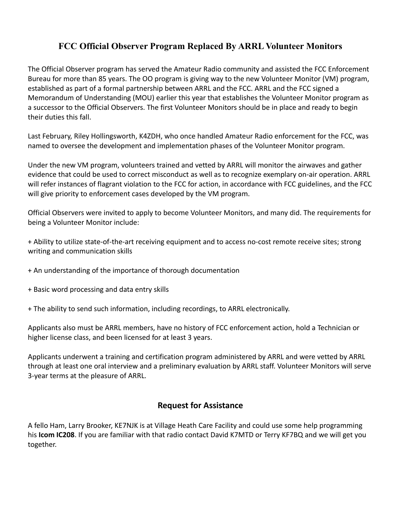## **FCC Official Observer Program Replaced By ARRL Volunteer Monitors**

The Official Observer program has served the Amateur Radio community and assisted the FCC Enforcement Bureau for more than 85 years. The OO program is giving way to the new Volunteer Monitor (VM) program, established as part of a formal partnership between ARRL and the FCC. ARRL and the FCC signed a Memorandum of Understanding (MOU) earlier this year that establishes the Volunteer Monitor program as a successor to the Official Observers. The first Volunteer Monitors should be in place and ready to begin their duties this fall.

Last February, Riley Hollingsworth, K4ZDH, who once handled Amateur Radio enforcement for the FCC, was named to oversee the development and implementation phases of the Volunteer Monitor program.

Under the new VM program, volunteers trained and vetted by ARRL will monitor the airwaves and gather evidence that could be used to correct misconduct as well as to recognize exemplary on-air operation. ARRL will refer instances of flagrant violation to the FCC for action, in accordance with FCC guidelines, and the FCC will give priority to enforcement cases developed by the VM program.

Official Observers were invited to apply to become Volunteer Monitors, and many did. The requirements for being a Volunteer Monitor include:

+ Ability to utilize state-of-the-art receiving equipment and to access no-cost remote receive sites; strong writing and communication skills

- + An understanding of the importance of thorough documentation
- + Basic word processing and data entry skills
- + The ability to send such information, including recordings, to ARRL electronically.

Applicants also must be ARRL members, have no history of FCC enforcement action, hold a Technician or higher license class, and been licensed for at least 3 years.

Applicants underwent a training and certification program administered by ARRL and were vetted by ARRL through at least one oral interview and a preliminary evaluation by ARRL staff. Volunteer Monitors will serve 3-year terms at the pleasure of ARRL.

#### **Request for Assistance**

A fello Ham, Larry Brooker, KE7NJK is at Village Heath Care Facility and could use some help programming his **Icom IC208**. If you are familiar with that radio contact David K7MTD or Terry KF7BQ and we will get you together.